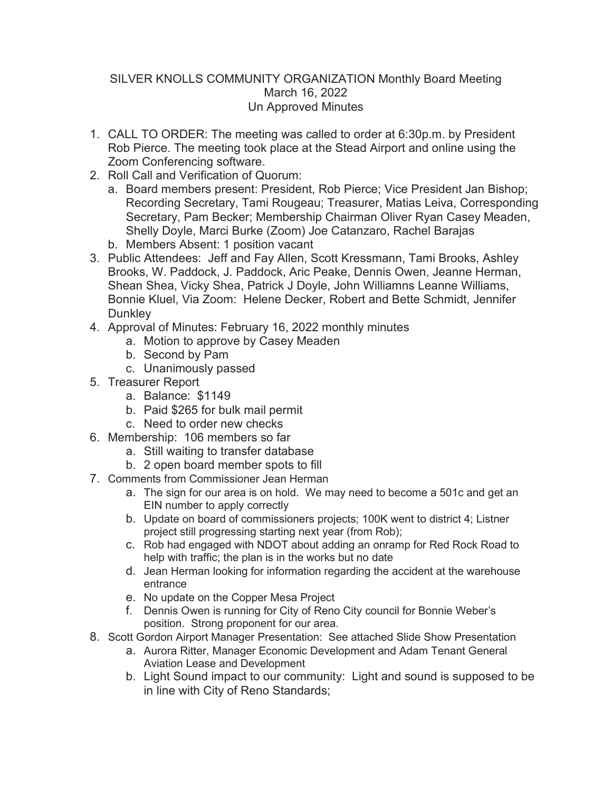## SILVER KNOLLS COMMUNITY ORGANIZATION Monthly Board Meeting March 16, 2022 Un Approved Minutes

- 1. CALL TO ORDER: The meeting was called to order at 6:30p.m. by President Rob Pierce. The meeting took place at the Stead Airport and online using the Zoom Conferencing software.
- 2. Roll Call and Verification of Quorum:
	- a. Board members present: President, Rob Pierce; Vice President Jan Bishop; Recording Secretary, Tami Rougeau; Treasurer, Matias Leiva, Corresponding Secretary, Pam Becker; Membership Chairman Oliver Ryan Casey Meaden, Shelly Doyle, Marci Burke (Zoom) Joe Catanzaro, Rachel Barajas
	- b. Members Absent: 1 position vacant
- 3. Public Attendees: Jeff and Fay Allen, Scott Kressmann, Tami Brooks, Ashley Brooks, W. Paddock, J. Paddock, Aric Peake, Dennis Owen, Jeanne Herman, Shean Shea, Vicky Shea, Patrick J Doyle, John Williamns Leanne Williams, Bonnie Kluel, Via Zoom: Helene Decker, Robert and Bette Schmidt, Jennifer **Dunkley**
- 4. Approval of Minutes: February 16, 2022 monthly minutes
	- a. Motion to approve by Casey Meaden
	- b. Second by Pam
	- c. Unanimously passed
- 5. Treasurer Report
	- a. Balance: \$1149
	- b. Paid \$265 for bulk mail permit
	- c. Need to order new checks
- 6. Membership: 106 members so far
	- a. Still waiting to transfer database
	- b. 2 open board member spots to fill
- 7. Comments from Commissioner Jean Herman
	- a. The sign for our area is on hold. We may need to become a 501c and get an EIN number to apply correctly
	- b. Update on board of commissioners projects; 100K went to district 4; Listner project still progressing starting next year (from Rob);
	- c. Rob had engaged with NDOT about adding an onramp for Red Rock Road to help with traffic; the plan is in the works but no date
	- d. Jean Herman looking for information regarding the accident at the warehouse entrance
	- e. No update on the Copper Mesa Project
	- f. Dennis Owen is running for City of Reno City council for Bonnie Weber's position. Strong proponent for our area.
- 8. Scott Gordon Airport Manager Presentation: See attached Slide Show Presentation
	- a. Aurora Ritter, Manager Economic Development and Adam Tenant General Aviation Lease and Development
	- b. Light Sound impact to our community: Light and sound is supposed to be in line with City of Reno Standards;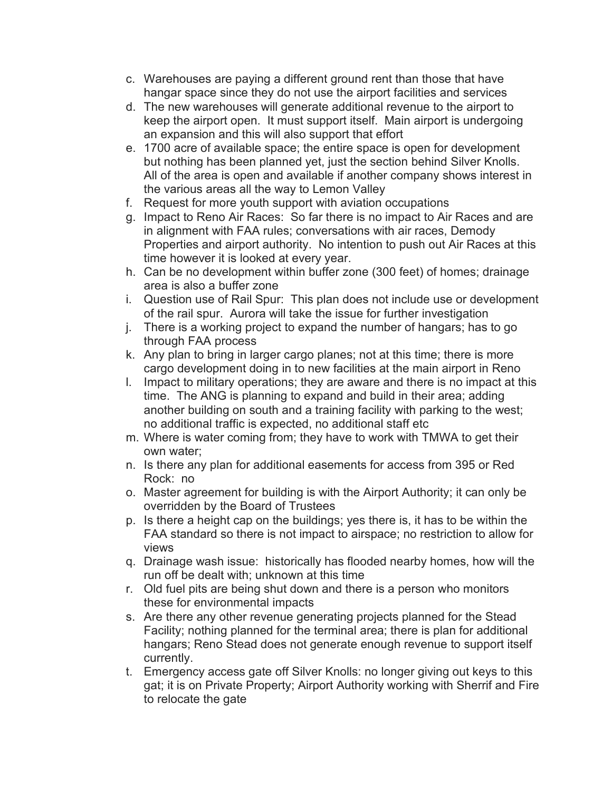- c. Warehouses are paying a different ground rent than those that have hangar space since they do not use the airport facilities and services
- d. The new warehouses will generate additional revenue to the airport to keep the airport open. It must support itself. Main airport is undergoing an expansion and this will also support that effort
- e. 1700 acre of available space; the entire space is open for development but nothing has been planned yet, just the section behind Silver Knolls. All of the area is open and available if another company shows interest in the various areas all the way to Lemon Valley
- f. Request for more youth support with aviation occupations
- g. Impact to Reno Air Races: So far there is no impact to Air Races and are in alignment with FAA rules; conversations with air races, Demody Properties and airport authority. No intention to push out Air Races at this time however it is looked at every year.
- h. Can be no development within buffer zone (300 feet) of homes; drainage area is also a buffer zone
- i. Question use of Rail Spur: This plan does not include use or development of the rail spur. Aurora will take the issue for further investigation
- j. There is a working project to expand the number of hangars; has to go through FAA process
- k. Any plan to bring in larger cargo planes; not at this time; there is more cargo development doing in to new facilities at the main airport in Reno
- l. Impact to military operations; they are aware and there is no impact at this time. The ANG is planning to expand and build in their area; adding another building on south and a training facility with parking to the west; no additional traffic is expected, no additional staff etc
- m. Where is water coming from; they have to work with TMWA to get their own water;
- n. Is there any plan for additional easements for access from 395 or Red Rock: no
- o. Master agreement for building is with the Airport Authority; it can only be overridden by the Board of Trustees
- p. Is there a height cap on the buildings; yes there is, it has to be within the FAA standard so there is not impact to airspace; no restriction to allow for views
- q. Drainage wash issue: historically has flooded nearby homes, how will the run off be dealt with; unknown at this time
- r. Old fuel pits are being shut down and there is a person who monitors these for environmental impacts
- s. Are there any other revenue generating projects planned for the Stead Facility; nothing planned for the terminal area; there is plan for additional hangars; Reno Stead does not generate enough revenue to support itself currently.
- t. Emergency access gate off Silver Knolls: no longer giving out keys to this gat; it is on Private Property; Airport Authority working with Sherrif and Fire to relocate the gate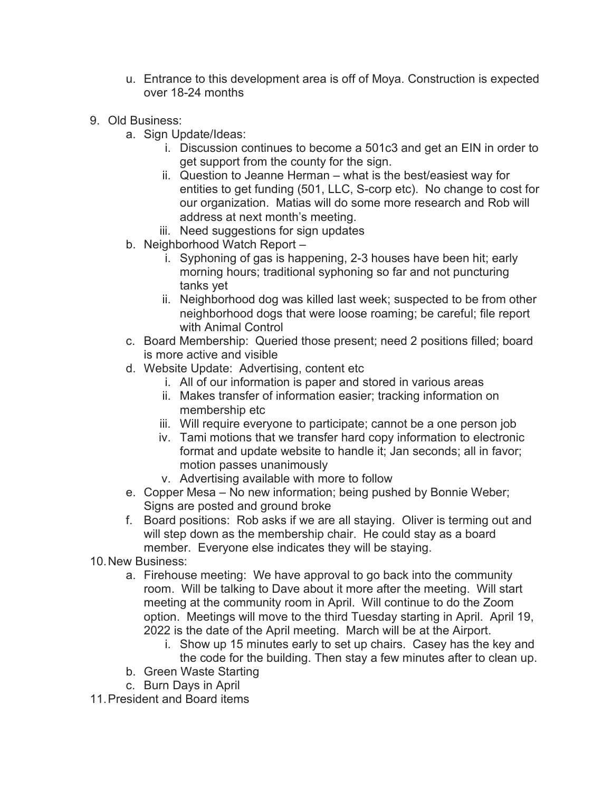- u. Entrance to this development area is off of Moya. Construction is expected over 18-24 months
- 9. Old Business:
	- a. Sign Update/Ideas:
		- i. Discussion continues to become a 501c3 and get an EIN in order to get support from the county for the sign.
		- ii. Question to Jeanne Herman what is the best/easiest way for entities to get funding (501, LLC, S-corp etc). No change to cost for our organization. Matias will do some more research and Rob will address at next month's meeting.
		- iii. Need suggestions for sign updates
	- b. Neighborhood Watch Report
		- i. Syphoning of gas is happening, 2-3 houses have been hit; early morning hours; traditional syphoning so far and not puncturing tanks yet
		- ii. Neighborhood dog was killed last week; suspected to be from other neighborhood dogs that were loose roaming; be careful; file report with Animal Control
	- c. Board Membership: Queried those present; need 2 positions filled; board is more active and visible
	- d. Website Update: Advertising, content etc
		- i. All of our information is paper and stored in various areas
		- ii. Makes transfer of information easier; tracking information on membership etc
		- iii. Will require everyone to participate; cannot be a one person job
		- iv. Tami motions that we transfer hard copy information to electronic format and update website to handle it; Jan seconds; all in favor; motion passes unanimously
		- v. Advertising available with more to follow
	- e. Copper Mesa No new information; being pushed by Bonnie Weber; Signs are posted and ground broke
	- f. Board positions: Rob asks if we are all staying. Oliver is terming out and will step down as the membership chair. He could stay as a board member. Everyone else indicates they will be staying.
- 10.New Business:
	- a. Firehouse meeting: We have approval to go back into the community room. Will be talking to Dave about it more after the meeting. Will start meeting at the community room in April. Will continue to do the Zoom option. Meetings will move to the third Tuesday starting in April. April 19, 2022 is the date of the April meeting. March will be at the Airport.
		- i. Show up 15 minutes early to set up chairs. Casey has the key and the code for the building. Then stay a few minutes after to clean up.
	- b. Green Waste Starting
	- c. Burn Days in April
- 11.President and Board items